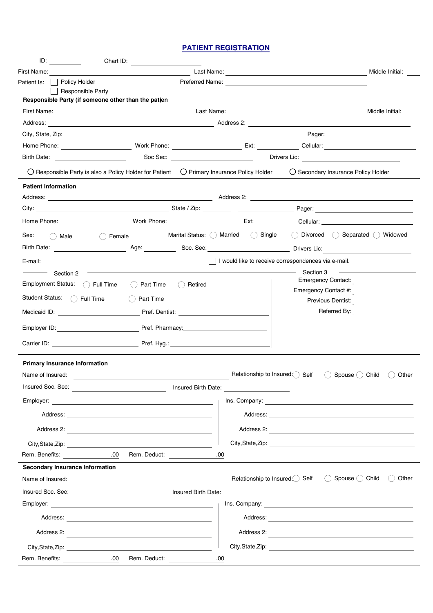## **PATIENT REGISTRATION**

| ID:                                                                                                             | Chart ID:                                                                                                       |                     |            |                                                     |                                                                                                 |
|-----------------------------------------------------------------------------------------------------------------|-----------------------------------------------------------------------------------------------------------------|---------------------|------------|-----------------------------------------------------|-------------------------------------------------------------------------------------------------|
| First Name:                                                                                                     |                                                                                                                 |                     |            |                                                     | Middle Initial:                                                                                 |
| Patient Is:     Policy Holder                                                                                   |                                                                                                                 |                     |            |                                                     |                                                                                                 |
| Responsible Party                                                                                               | Responsible Party (if someone other than the patjen                                                             |                     |            |                                                     |                                                                                                 |
|                                                                                                                 | First Name: Contract the Contract of Contract Associates Associates Associates Associates Associates Associates |                     |            |                                                     | Middle Initial:                                                                                 |
|                                                                                                                 |                                                                                                                 |                     |            |                                                     |                                                                                                 |
|                                                                                                                 |                                                                                                                 |                     |            |                                                     |                                                                                                 |
|                                                                                                                 |                                                                                                                 |                     |            |                                                     |                                                                                                 |
| Birth Date: The Contract of the Contract of the Contract of the Contract of the Contract of the Contract of the |                                                                                                                 |                     |            |                                                     |                                                                                                 |
|                                                                                                                 | $\bigcirc$ Responsible Party is also a Policy Holder for Patient $\bigcirc$ Primary Insurance Policy Holder     |                     |            |                                                     | O Secondary Insurance Policy Holder                                                             |
| <b>Patient Information</b>                                                                                      |                                                                                                                 |                     |            |                                                     |                                                                                                 |
| Address:                                                                                                        |                                                                                                                 |                     | Address 2: |                                                     |                                                                                                 |
|                                                                                                                 |                                                                                                                 |                     |            |                                                     |                                                                                                 |
|                                                                                                                 |                                                                                                                 |                     |            |                                                     |                                                                                                 |
| Sex:<br>$\bigcirc$ Male                                                                                         | $( )$ Female                                                                                                    |                     |            |                                                     | Marital Status: ( Married ( C) Single ( C) Divorced ( C) Separated ( Widowed                    |
|                                                                                                                 | Birth Date: Note: Note: Note: Note: Note: Note: Note: Note: Note: Note: Note: Note: Note: Note: Note: Note: No  |                     |            |                                                     |                                                                                                 |
| E-mail:                                                                                                         |                                                                                                                 |                     |            | I would like to receive correspondences via e-mail. |                                                                                                 |
| Section 2                                                                                                       |                                                                                                                 |                     |            | Section 3                                           |                                                                                                 |
| <b>Employment Status:</b>                                                                                       | $\bigcap$ Full Time<br>Part Time                                                                                | Retired<br>(        |            | <b>Emergency Contact:</b>                           |                                                                                                 |
| Student Status: ( Full Time                                                                                     | Part Time                                                                                                       |                     |            | Emergency Contact #:                                | Previous Dentist:                                                                               |
| Medicaid ID:                                                                                                    | Pref. Dentist:                                                                                                  |                     |            |                                                     | Referred By:                                                                                    |
|                                                                                                                 |                                                                                                                 |                     |            |                                                     |                                                                                                 |
| Employer ID:                                                                                                    |                                                                                                                 |                     |            |                                                     |                                                                                                 |
| Carrier ID:                                                                                                     | Pref. Hyg.:                                                                                                     |                     |            |                                                     |                                                                                                 |
| <b>Primary Insurance Information</b>                                                                            |                                                                                                                 |                     |            |                                                     |                                                                                                 |
| Name of Insured:                                                                                                |                                                                                                                 |                     |            | Relationship to Insured: Self                       | Spouse () Child<br>$($ )<br>Other                                                               |
| Insured Soc. Sec:                                                                                               |                                                                                                                 | Insured Birth Date: |            |                                                     |                                                                                                 |
|                                                                                                                 |                                                                                                                 |                     |            |                                                     | Ins. Company: <u>company:</u>                                                                   |
|                                                                                                                 |                                                                                                                 |                     |            |                                                     |                                                                                                 |
|                                                                                                                 |                                                                                                                 | Address 2:          |            |                                                     |                                                                                                 |
|                                                                                                                 |                                                                                                                 |                     |            |                                                     |                                                                                                 |
| Rem. Benefits:                                                                                                  | .00<br>Rem. Deduct:                                                                                             |                     | .00        |                                                     |                                                                                                 |
| <b>Secondary Insurance Information</b>                                                                          |                                                                                                                 |                     |            |                                                     |                                                                                                 |
|                                                                                                                 |                                                                                                                 |                     |            |                                                     | Relationship to Insured: $\bigcirc$ Self $\bigcirc$ Spouse $\bigcirc$ Child $\bigcirc$<br>Other |
|                                                                                                                 |                                                                                                                 |                     |            |                                                     |                                                                                                 |
|                                                                                                                 |                                                                                                                 |                     |            |                                                     |                                                                                                 |
|                                                                                                                 |                                                                                                                 |                     |            |                                                     |                                                                                                 |
|                                                                                                                 | Address 2:                                                                                                      |                     |            |                                                     | Address 2:                                                                                      |
|                                                                                                                 |                                                                                                                 |                     |            |                                                     |                                                                                                 |
| Rem. Benefits:                                                                                                  | $\sim$ 00<br>Rem. Deduct:                                                                                       |                     | .00        |                                                     |                                                                                                 |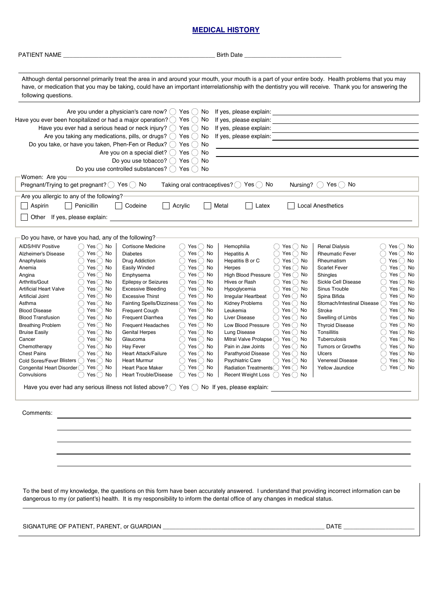## **MEDICAL HISTORY**

| PATIENT NAME                                                                                                                                                                                                                                                                                                                                                                                                                                                                                                                                                                                                                                                                                                                                                 |                                                                                                                                                                                                                                                                                                                                                                                                                                                                                                                                                                                                                                                                                                                                    | <b>Birth Date</b>                                                                                                                                                                                                                                                                                                                                                                                                                                                                                                                                                                                                                                                                                                                                                                                                      |                                                                                                                                                                                                                                                                                                                                                                                                                                                                                                                                                                                                                                                                                                                                                                                              |
|--------------------------------------------------------------------------------------------------------------------------------------------------------------------------------------------------------------------------------------------------------------------------------------------------------------------------------------------------------------------------------------------------------------------------------------------------------------------------------------------------------------------------------------------------------------------------------------------------------------------------------------------------------------------------------------------------------------------------------------------------------------|------------------------------------------------------------------------------------------------------------------------------------------------------------------------------------------------------------------------------------------------------------------------------------------------------------------------------------------------------------------------------------------------------------------------------------------------------------------------------------------------------------------------------------------------------------------------------------------------------------------------------------------------------------------------------------------------------------------------------------|------------------------------------------------------------------------------------------------------------------------------------------------------------------------------------------------------------------------------------------------------------------------------------------------------------------------------------------------------------------------------------------------------------------------------------------------------------------------------------------------------------------------------------------------------------------------------------------------------------------------------------------------------------------------------------------------------------------------------------------------------------------------------------------------------------------------|----------------------------------------------------------------------------------------------------------------------------------------------------------------------------------------------------------------------------------------------------------------------------------------------------------------------------------------------------------------------------------------------------------------------------------------------------------------------------------------------------------------------------------------------------------------------------------------------------------------------------------------------------------------------------------------------------------------------------------------------------------------------------------------------|
| following questions.                                                                                                                                                                                                                                                                                                                                                                                                                                                                                                                                                                                                                                                                                                                                         |                                                                                                                                                                                                                                                                                                                                                                                                                                                                                                                                                                                                                                                                                                                                    | Although dental personnel primarily treat the area in and around your mouth, your mouth is a part of your entire body. Health problems that you may<br>have, or medication that you may be taking, could have an important interrelationship with the dentistry you will receive. Thank you for answering the                                                                                                                                                                                                                                                                                                                                                                                                                                                                                                          |                                                                                                                                                                                                                                                                                                                                                                                                                                                                                                                                                                                                                                                                                                                                                                                              |
| Have you ever been hospitalized or had a major operation? $\bigcirc$ Yes $\bigcirc$ No                                                                                                                                                                                                                                                                                                                                                                                                                                                                                                                                                                                                                                                                       | Are you under a physician's care now? $\bigcirc$ Yes $\bigcirc$ No<br>Have you ever had a serious head or neck injury? $\bigcirc$ Yes $\bigcirc$ No<br>Are you taking any medications, pills, or drugs? $\bigcirc$ Yes $\bigcirc$ No<br>Do you take, or have you taken, Phen-Fen or Redux? $\bigcirc$ Yes $\bigcirc$ No<br>Are you on a special diet? $\bigcirc$ Yes $\bigcirc$ No<br>Do you use tobacco? $()$ Yes $()$ No<br>Do you use controlled substances? $\bigcirc$ Yes $\bigcirc$ No                                                                                                                                                                                                                                       | If yes, please explain:<br>If yes, please explain:<br>If yes, please explain:<br>If yes, please explain:                                                                                                                                                                                                                                                                                                                                                                                                                                                                                                                                                                                                                                                                                                               |                                                                                                                                                                                                                                                                                                                                                                                                                                                                                                                                                                                                                                                                                                                                                                                              |
| Women: Are you-<br>Pregnant/Trying to get pregnant? $\bigcirc$ Yes $\bigcirc$ No                                                                                                                                                                                                                                                                                                                                                                                                                                                                                                                                                                                                                                                                             |                                                                                                                                                                                                                                                                                                                                                                                                                                                                                                                                                                                                                                                                                                                                    | Taking oral contraceptives? $\bigcirc$ Yes $\bigcirc$ No                                                                                                                                                                                                                                                                                                                                                                                                                                                                                                                                                                                                                                                                                                                                                               | Nursing? $()$ Yes $()$ No                                                                                                                                                                                                                                                                                                                                                                                                                                                                                                                                                                                                                                                                                                                                                                    |
| Are you allergic to any of the following?<br>Penicillin<br>Aspirin<br>Other If yes, please explain:                                                                                                                                                                                                                                                                                                                                                                                                                                                                                                                                                                                                                                                          | Codeine<br>Acrylic                                                                                                                                                                                                                                                                                                                                                                                                                                                                                                                                                                                                                                                                                                                 | Metal<br>Latex                                                                                                                                                                                                                                                                                                                                                                                                                                                                                                                                                                                                                                                                                                                                                                                                         | <b>Local Anesthetics</b>                                                                                                                                                                                                                                                                                                                                                                                                                                                                                                                                                                                                                                                                                                                                                                     |
| Do you have, or have you had, any of the following?<br>Yes $\bigcirc$ No<br><b>AIDS/HIV Positive</b><br>$Yes()$ No<br>Alzheimer's Disease<br>Yes $\bigcirc$<br>No<br>Anaphylaxis<br>Yes() No<br>Anemia<br>Yes()<br>No<br>Angina<br>Yes()<br>Arthritis/Gout<br>No<br>$Yes()$ No<br><b>Artificial Heart Valve</b><br>Yes $\bigcirc$ No<br><b>Artificial Joint</b><br>Yes() No<br>Asthma<br><b>Blood Disease</b><br>Yes() No<br>$Yes$ No<br><b>Blood Transfusion</b><br>()<br>Yes() No<br><b>Breathing Problem</b><br>$( \ )$<br><b>Bruise Easily</b><br>Yes() No<br>$Yes()$ No<br>Cancer<br>Yes() No<br>Chemotherapy<br>Yes()<br>No<br><b>Chest Pains</b><br>Cold Sores/Fever Blisters ( ) Yes ( ) No<br>Congenital Heart Disorder () Yes () No<br>Convulsions | Cortisone Medicine<br>( ) Yes( ) No<br>Yes() No<br><b>Diabetes</b><br>Yes $\bigcap$ No<br>Drug Addiction<br>Easily Winded<br>( ) Yes ( ) No<br>Yes() No<br>Emphysema<br>( ) Yes( ) No<br><b>Epilepsy or Seizures</b><br>( ) Yes( ) No<br><b>Excessive Bleeding</b><br><b>Excessive Thirst</b><br>( ) Yes( ) No<br>Fainting Spells/Dizziness O Yes O No<br>Frequent Cough<br>( ) Yes( ) No<br><b>Frequent Diarrhea</b><br>( ) Yes( ) No<br>Frequent Headaches<br>( ) Yes ( ) No<br><b>Genital Herpes</b><br>$( \ )$<br>Yes() No<br>Yes() No<br>Glaucoma<br><b>Hay Fever</b><br>( ) Yes( ) No<br>Yes $\bigcap$ No<br>Heart Attack/Failure<br>()<br>( ) Yes ( ) No<br><b>Heart Murmur</b><br>( ) Yes( ) No<br><b>Heart Pace Maker</b> | Hemophilia<br>( ) Yes( ) No<br>Yes $\bigcirc$ No<br><b>Hepatitis A</b><br>Yes ( ) No<br>Hepatitis B or C<br>( ) Yes( ) No<br>Herpes<br><b>High Blood Pressure</b><br>Yes $\bigcirc$ No<br>$\left( \quad \right)$<br>Hives or Rash<br>( ) Yes( ) No<br>$\bigcirc$ Yes $\bigcirc$ No<br>Hypoglycemia<br>( ) Yes ( ) No<br>Irregular Heartbeat<br><b>Kidney Problems</b><br>()Yes()No<br>Leukemia<br>( ) Yes( ) No<br><b>Liver Disease</b><br>( )<br>Yes() No<br>Low Blood Pressure<br>( ) Yes ( ) No<br>Lung Disease<br>( ) Yes( ) No<br>$Yes$ ( ) No<br>Mitral Valve Prolapse ()<br>Pain in Jaw Joints<br>()Yes()No<br>Parathyroid Disease ( Yes ( ) No<br><b>Psychiatric Care</b><br>( ) Yes( ) No<br>Radiation Treatments Yes ( No<br>○ Yes ○ No │ Heart Trouble/Disease ○ Yes ○ No │ Recent Weight Loss ○ Yes ○ No │ | <b>Renal Dialysis</b><br>Yes() No<br><b>Rheumatic Fever</b><br>Yes() No<br>Yes() No<br>Rheumatism<br>Yes() No<br><b>Scarlet Fever</b><br>Yes $\bigcirc$ No<br>Shingles<br>Yes() No<br>Sickle Cell Disease<br>( )<br>Sinus Trouble<br>Yes() No<br>$( \ )$<br>$\bigcirc$ Yes $\bigcirc$ No<br>Spina Bifida<br>Stomach/Intestinal Disease () Yes () No<br>Yes $\bigcirc$ No<br>Stroke<br>$\left( \quad \right)$<br>$\bigcirc$ Yes $\bigcirc$ No<br>Swelling of Limbs<br><b>Thyroid Disease</b><br>Yes() No<br>$($ )<br>Tonsillitis<br>Yes $\bigcirc$ No<br>Yes $\bigcirc$ No<br>Tuberculosis<br>Yes() No<br>Tumors or Growths<br>$($ )<br>Yes $\bigcirc$ No<br>Ulcers<br>$($ )<br>Yes $\bigcirc$ No<br><b>Venereal Disease</b><br>( )<br>$\bigcirc$ Yes $\bigcirc$ No<br><b>Yellow Jaundice</b> |
| Comments:                                                                                                                                                                                                                                                                                                                                                                                                                                                                                                                                                                                                                                                                                                                                                    |                                                                                                                                                                                                                                                                                                                                                                                                                                                                                                                                                                                                                                                                                                                                    | <u> 1989 - Johann Stoff, deutscher Stoff, der Stoff, der Stoff, der Stoff, der Stoff, der Stoff, der Stoff, der S</u>                                                                                                                                                                                                                                                                                                                                                                                                                                                                                                                                                                                                                                                                                                  |                                                                                                                                                                                                                                                                                                                                                                                                                                                                                                                                                                                                                                                                                                                                                                                              |
|                                                                                                                                                                                                                                                                                                                                                                                                                                                                                                                                                                                                                                                                                                                                                              |                                                                                                                                                                                                                                                                                                                                                                                                                                                                                                                                                                                                                                                                                                                                    | To the best of my knowledge, the questions on this form have been accurately answered. I understand that providing incorrect information can be                                                                                                                                                                                                                                                                                                                                                                                                                                                                                                                                                                                                                                                                        |                                                                                                                                                                                                                                                                                                                                                                                                                                                                                                                                                                                                                                                                                                                                                                                              |
|                                                                                                                                                                                                                                                                                                                                                                                                                                                                                                                                                                                                                                                                                                                                                              |                                                                                                                                                                                                                                                                                                                                                                                                                                                                                                                                                                                                                                                                                                                                    | dangerous to my (or patient's) health. It is my responsibility to inform the dental office of any changes in medical status.                                                                                                                                                                                                                                                                                                                                                                                                                                                                                                                                                                                                                                                                                           |                                                                                                                                                                                                                                                                                                                                                                                                                                                                                                                                                                                                                                                                                                                                                                                              |
|                                                                                                                                                                                                                                                                                                                                                                                                                                                                                                                                                                                                                                                                                                                                                              |                                                                                                                                                                                                                                                                                                                                                                                                                                                                                                                                                                                                                                                                                                                                    |                                                                                                                                                                                                                                                                                                                                                                                                                                                                                                                                                                                                                                                                                                                                                                                                                        |                                                                                                                                                                                                                                                                                                                                                                                                                                                                                                                                                                                                                                                                                                                                                                                              |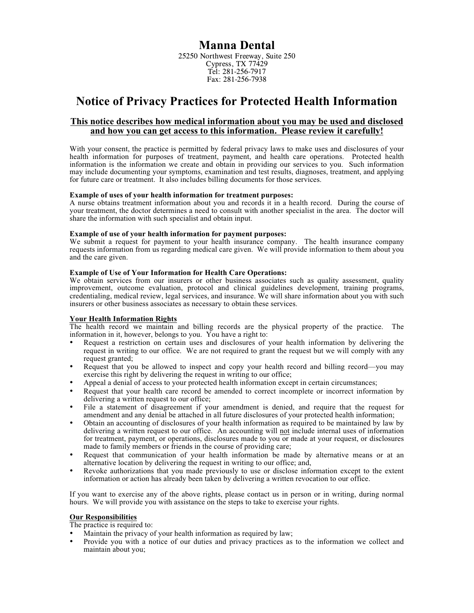## **Manna Dental**

25250 Northwest Freeway, Suite 250 Cypress, TX 77429 Tel: 281-256-7917 Fax: 281-256-7938

# **Notice of Privacy Practices for Protected Health Information**

### **This notice describes how medical information about you may be used and disclosed and how you can get access to this information. Please review it carefully!**

With your consent, the practice is permitted by federal privacy laws to make uses and disclosures of your health information for purposes of treatment, payment, and health care operations. Protected health information is the information we create and obtain in providing our services to you. Such information may include documenting your symptoms, examination and test results, diagnoses, treatment, and applying for future care or treatment. It also includes billing documents for those services.

#### **Example of uses of your health information for treatment purposes:**

A nurse obtains treatment information about you and records it in a health record. During the course of your treatment, the doctor determines a need to consult with another specialist in the area. The doctor will share the information with such specialist and obtain input.

#### **Example of use of your health information for payment purposes:**

We submit a request for payment to your health insurance company. The health insurance company requests information from us regarding medical care given. We will provide information to them about you and the care given.

#### **Example of Use of Your Information for Health Care Operations:**

We obtain services from our insurers or other business associates such as quality assessment, quality improvement, outcome evaluation, protocol and clinical guidelines development, training programs, credentialing, medical review, legal services, and insurance. We will share information about you with such insurers or other business associates as necessary to obtain these services.

### **Your Health Information Rights**

The health record we maintain and billing records are the physical property of the practice. The information in it, however, belongs to you. You have a right to:

- Request a restriction on certain uses and disclosures of your health information by delivering the request in writing to our office. We are not required to grant the request but we will comply with any request granted;
- Request that you be allowed to inspect and copy your health record and billing record—you may exercise this right by delivering the request in writing to our office;
- Appeal a denial of access to your protected health information except in certain circumstances;
- Request that your health care record be amended to correct incomplete or incorrect information by delivering a written request to our office;
- File a statement of disagreement if your amendment is denied, and require that the request for amendment and any denial be attached in all future disclosures of your protected health information;
- Obtain an accounting of disclosures of your health information as required to be maintained by law by delivering a written request to our office. An accounting will not include internal uses of information for treatment, payment, or operations, disclosures made to you or made at your request, or disclosures made to family members or friends in the course of providing care;
- Request that communication of your health information be made by alternative means or at an alternative location by delivering the request in writing to our office; and,
- Revoke authorizations that you made previously to use or disclose information except to the extent information or action has already been taken by delivering a written revocation to our office.

If you want to exercise any of the above rights, please contact us in person or in writing, during normal hours. We will provide you with assistance on the steps to take to exercise your rights.

#### **Our Responsibilities**

The practice is required to:

- Maintain the privacy of your health information as required by law;
- Provide you with a notice of our duties and privacy practices as to the information we collect and maintain about you;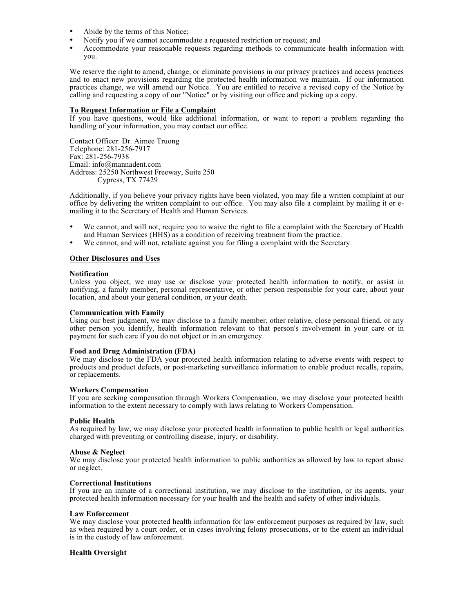- Abide by the terms of this Notice;
- Notify you if we cannot accommodate a requested restriction or request; and
- Accommodate your reasonable requests regarding methods to communicate health information with you.

We reserve the right to amend, change, or eliminate provisions in our privacy practices and access practices and to enact new provisions regarding the protected health information we maintain. If our information practices change, we will amend our Notice. You are entitled to receive a revised copy of the Notice by calling and requesting a copy of our "Notice" or by visiting our office and picking up a copy.

#### **To Request Information or File a Complaint**

If you have questions, would like additional information, or want to report a problem regarding the handling of your information, you may contact our office.

Contact Officer: Dr. Aimee Truong Telephone: 281-256-7917 Fax: 281-256-7938 Email: info@mannadent.com Address: 25250 Northwest Freeway, Suite 250 Cypress, TX 77429

Additionally, if you believe your privacy rights have been violated, you may file a written complaint at our office by delivering the written complaint to our office. You may also file a complaint by mailing it or emailing it to the Secretary of Health and Human Services.

- We cannot, and will not, require you to waive the right to file a complaint with the Secretary of Health and Human Services (HHS) as a condition of receiving treatment from the practice.
- We cannot, and will not, retaliate against you for filing a complaint with the Secretary.

#### **Other Disclosures and Uses**

#### **Notification**

Unless you object, we may use or disclose your protected health information to notify, or assist in notifying, a family member, personal representative, or other person responsible for your care, about your location, and about your general condition, or your death.

#### **Communication with Family**

Using our best judgment, we may disclose to a family member, other relative, close personal friend, or any other person you identify, health information relevant to that person's involvement in your care or in payment for such care if you do not object or in an emergency.

#### **Food and Drug Administration (FDA)**

We may disclose to the FDA your protected health information relating to adverse events with respect to products and product defects, or post-marketing surveillance information to enable product recalls, repairs, or replacements.

#### **Workers Compensation**

If you are seeking compensation through Workers Compensation, we may disclose your protected health information to the extent necessary to comply with laws relating to Workers Compensation.

#### **Public Health**

As required by law, we may disclose your protected health information to public health or legal authorities charged with preventing or controlling disease, injury, or disability.

#### **Abuse & Neglect**

We may disclose your protected health information to public authorities as allowed by law to report abuse or neglect.

#### **Correctional Institutions**

If you are an inmate of a correctional institution, we may disclose to the institution, or its agents, your protected health information necessary for your health and the health and safety of other individuals.

#### **Law Enforcement**

We may disclose your protected health information for law enforcement purposes as required by law, such as when required by a court order, or in cases involving felony prosecutions, or to the extent an individual is in the custody of law enforcement.

#### **Health Oversight**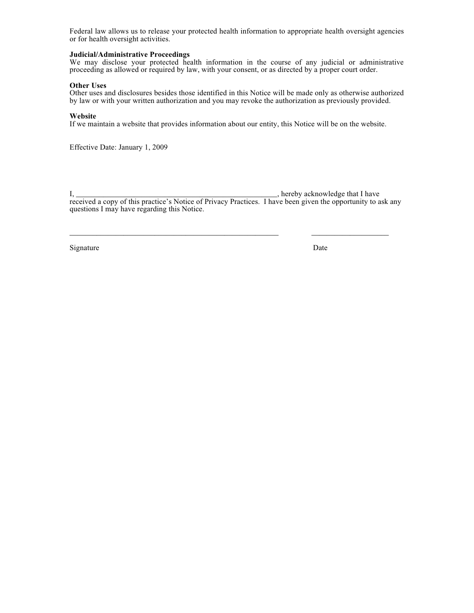Federal law allows us to release your protected health information to appropriate health oversight agencies or for health oversight activities.

#### **Judicial/Administrative Proceedings**

We may disclose your protected health information in the course of any judicial or administrative proceeding as allowed or required by law, with your consent, or as directed by a proper court order.

#### **Other Uses**

Other uses and disclosures besides those identified in this Notice will be made only as otherwise authorized by law or with your written authorization and you may revoke the authorization as previously provided.

#### **Website**

If we maintain a website that provides information about our entity, this Notice will be on the website.

Effective Date: January 1, 2009

I, \_\_\_\_\_\_\_\_\_\_\_\_\_\_\_\_\_\_\_\_\_\_\_\_\_\_\_\_\_\_\_\_\_\_\_\_\_\_\_\_\_\_\_\_\_\_\_\_\_\_\_\_, hereby acknowledge that I have received a copy of this practice's Notice of Privacy Practices. I have been given the opportunity to ask any questions I may have regarding this Notice.

\_\_\_\_\_\_\_\_\_\_\_\_\_\_\_\_\_\_\_\_\_\_\_\_\_\_\_\_\_\_\_\_\_\_\_\_\_\_\_\_\_\_\_\_\_\_\_\_\_\_\_\_\_\_ \_\_\_\_\_\_\_\_\_\_\_\_\_\_\_\_\_\_\_\_

Signature Date